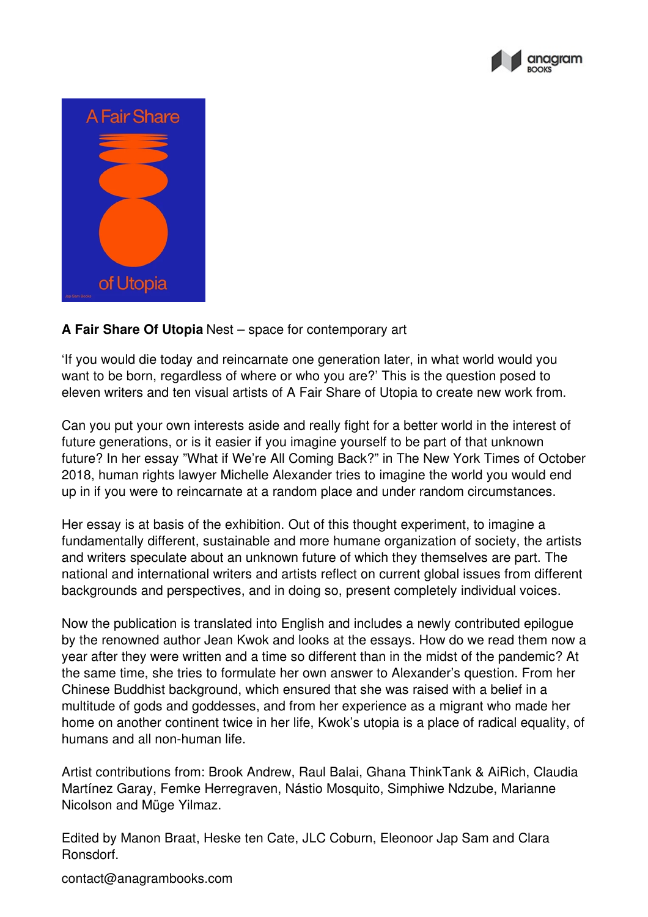



## **A Fair Share Of Utopia** Nest – space for contemporary art

'If you would die today and reincarnate one generation later, in what world would you want to be born, regardless of where or who you are?' This is the question posed to eleven writers and ten visual artists of A Fair Share of Utopia to create new work from.

Can you put your own interests aside and really fight for a better world in the interest of future generations, or is it easier if you imagine yourself to be part of that unknown future? In her essay "What if We're All Coming Back?" in The New York Times of October 2018, human rights lawyer Michelle Alexander tries to imagine the world you would end up in if you were to reincarnate at a random place and under random circumstances.

Her essay is at basis of the exhibition. Out of this thought experiment, to imagine a fundamentally different, sustainable and more humane organization of society, the artists and writers speculate about an unknown future of which they themselves are part. The national and international writers and artists reflect on current global issues from different backgrounds and perspectives, and in doing so, present completely individual voices.

Now the publication is translated into English and includes a newly contributed epilogue by the renowned author Jean Kwok and looks at the essays. How do we read them now a year after they were written and a time so different than in the midst of the pandemic? At the same time, she tries to formulate her own answer to Alexander's question. From her Chinese Buddhist background, which ensured that she was raised with a belief in a multitude of gods and goddesses, and from her experience as a migrant who made her home on another continent twice in her life, Kwok's utopia is a place of radical equality, of humans and all non-human life.

Artist contributions from: Brook Andrew, Raul Balai, Ghana ThinkTank & AiRich, Claudia Martínez Garay, Femke Herregraven, Nástio Mosquito, Simphiwe Ndzube, Marianne Nicolson and Müge Yilmaz.

Edited by Manon Braat, Heske ten Cate, JLC Coburn, Eleonoor Jap Sam and Clara Ronsdorf.